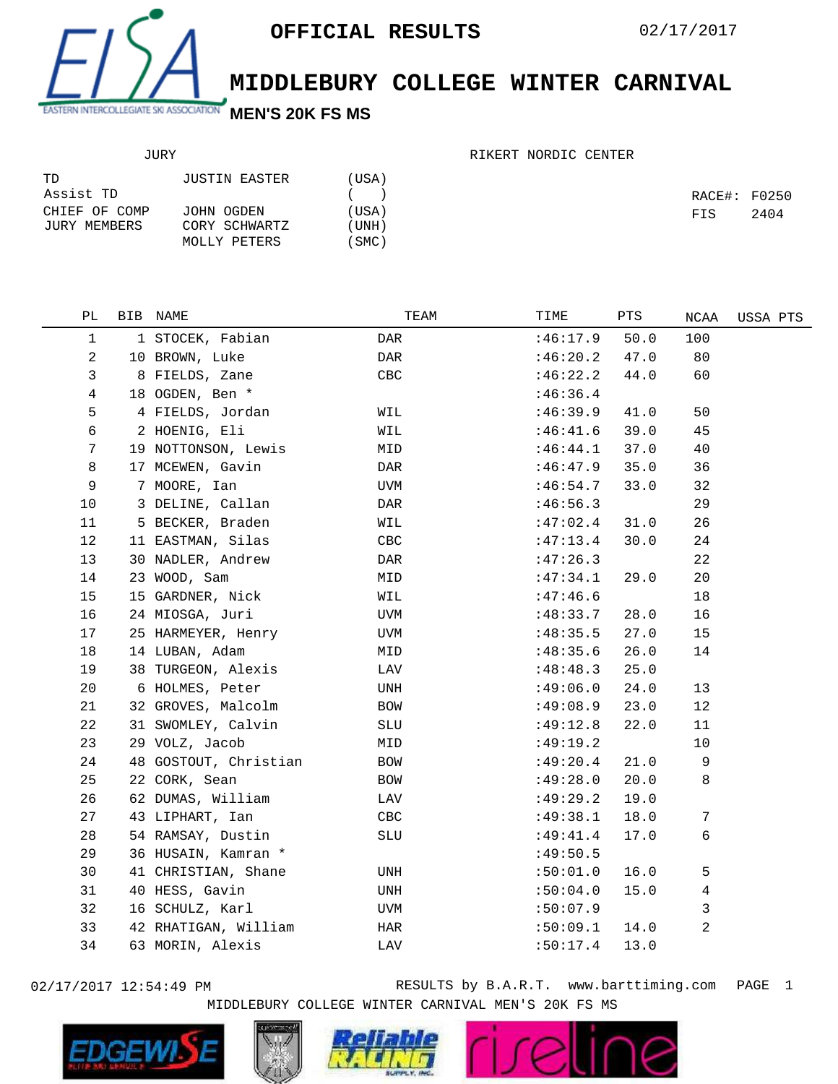

## **MIDDLEBURY COLLEGE WINTER CARNIVAL**

## JURY

## RIKERT NORDIC CENTER

| TD            | JUSTIN EASTER | (USA)   |              |      |
|---------------|---------------|---------|--------------|------|
| Assist TD     |               | $($ $)$ | RACE#: F0250 |      |
| CHIEF OF COMP | JOHN OGDEN    | (USA)   | FIS          | 2404 |
| JURY MEMBERS  | CORY SCHWARTZ | (UNH)   |              |      |
|               | MOLLY PETERS  | 'SMC)   |              |      |

| РL             | BIB NAME              | TEAM       | TIME     | PTS  | NCAA           | USSA PTS |
|----------------|-----------------------|------------|----------|------|----------------|----------|
| 1              | 1 STOCEK, Fabian      | DAR        | :46:17.9 | 50.0 | 100            |          |
| 2              | 10 BROWN, Luke        | DAR        | :46:20.2 | 47.0 | 80             |          |
| 3              | 8 FIELDS, Zane        | <b>CBC</b> | :46:22.2 | 44.0 | 60             |          |
| 4              | 18 OGDEN, Ben *       |            | :46:36.4 |      |                |          |
| 5              | 4 FIELDS, Jordan      | WIL        | :46:39.9 | 41.0 | 50             |          |
| 6              | 2 HOENIG, Eli         | WIL        | :46:41.6 | 39.0 | 45             |          |
| $\overline{7}$ | 19 NOTTONSON, Lewis   | MID        | :46:44.1 | 37.0 | 40             |          |
| 8              | 17 MCEWEN, Gavin      | DAR        | :46:47.9 | 35.0 | 36             |          |
| 9              | 7 MOORE, Ian          | UVM        | :46:54.7 | 33.0 | 32             |          |
| 10             | 3 DELINE, Callan      | DAR        | :46:56.3 |      | 29             |          |
| 11             | 5 BECKER, Braden      | WIL        | :47:02.4 | 31.0 | 26             |          |
| 12             | 11 EASTMAN, Silas     | CBC        | :47:13.4 | 30.0 | 24             |          |
| 13             | 30 NADLER, Andrew     | DAR        | :47:26.3 |      | 22             |          |
| 14             | 23 WOOD, Sam          | MID        | :47:34.1 | 29.0 | 20             |          |
| 15             | 15 GARDNER, Nick      | WIL        | :47:46.6 |      | 18             |          |
| 16             | 24 MIOSGA, Juri       | UVM        | :48:33.7 | 28.0 | 16             |          |
| 17             | 25 HARMEYER, Henry    | UVM        | :48:35.5 | 27.0 | 15             |          |
| 18             | 14 LUBAN, Adam        | MID        | :48:35.6 | 26.0 | 14             |          |
| 19             | 38 TURGEON, Alexis    | LAV        | :48:48.3 | 25.0 |                |          |
| 20             | 6 HOLMES, Peter       | UNH        | :49:06.0 | 24.0 | 13             |          |
| 21             | 32 GROVES, Malcolm    | BOW        | :49:08.9 | 23.0 | 12             |          |
| 22             | 31 SWOMLEY, Calvin    | SLU        | :49:12.8 | 22.0 | 11             |          |
| 23             | 29 VOLZ, Jacob        | MID        | :49:19.2 |      | $10$           |          |
| 24             | 48 GOSTOUT, Christian | BOW        | :49:20.4 | 21.0 | 9              |          |
| 25             | 22 CORK, Sean         | BOW        | :49:28.0 | 20.0 | 8              |          |
| 26             | 62 DUMAS, William     | LAV        | :49:29.2 | 19.0 |                |          |
| 27             | 43 LIPHART, Ian       | CBC        | :49:38.1 | 18.0 | 7              |          |
| 28             | 54 RAMSAY, Dustin     | SLU        | :49:41.4 | 17.0 | 6              |          |
| 29             | 36 HUSAIN, Kamran *   |            | :49:50.5 |      |                |          |
| 30             | 41 CHRISTIAN, Shane   | UNH        | :50:01.0 | 16.0 | 5              |          |
| 31             | 40 HESS, Gavin        | UNH        | :50:04.0 | 15.0 | 4              |          |
| 32             | 16 SCHULZ, Karl       | UVM        | :50:07.9 |      | 3              |          |
| 33             | 42 RHATIGAN, William  | HAR        | :50:09.1 | 14.0 | $\overline{a}$ |          |
| 34             | 63 MORIN, Alexis      | LAV        | :50:17.4 | 13.0 |                |          |
|                |                       |            |          |      |                |          |

02/17/2017 12:54:49 PM **RESULTS** by B.A.R.T. www.barttiming.com PAGE 1 MIDDLEBURY COLLEGE WINTER CARNIVAL MEN'S 20K FS MS